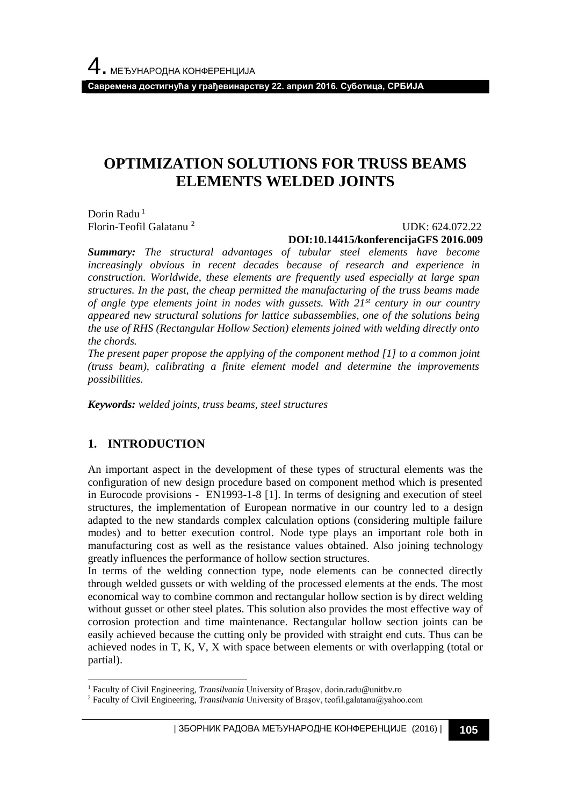**Савремена достигнућа у грађевинарству 22. април 2016. Суботица, СРБИЈА**

# **OPTIMIZATION SOLUTIONS FOR TRUSS BEAMS ELEMENTS WELDED JOINTS**

Dorin Radu<sup>1</sup> Florin-Teofil Galatanu <sup>2</sup>

UDK: 624.072.22

**DOI:10.14415/konferencijaGFS 2016.009**

*Summary: The structural advantages of tubular steel elements have become increasingly obvious in recent decades because of research and experience in construction. Worldwide, these elements are frequently used especially at large span structures. In the past, the cheap permitted the manufacturing of the truss beams made of angle type elements joint in nodes with gussets. With 21st century in our country appeared new structural solutions for lattice subassemblies, one of the solutions being the use of RHS (Rectangular Hollow Section) elements joined with welding directly onto the chords.*

*The present paper propose the applying of the component method [1] to a common joint (truss beam), calibrating a finite element model and determine the improvements possibilities.*

*Keywords: welded joints, truss beams, steel structures*

### **1. INTRODUCTION**

l

An important aspect in the development of these types of structural elements was the configuration of new design procedure based on component method which is presented in Eurocode provisions - EN1993-1-8 [1]. In terms of designing and execution of steel structures, the implementation of European normative in our country led to a design adapted to the new standards complex calculation options (considering multiple failure modes) and to better execution control. Node type plays an important role both in manufacturing cost as well as the resistance values obtained. Also joining technology greatly influences the performance of hollow section structures.

In terms of the welding connection type, node elements can be connected directly through welded gussets or with welding of the processed elements at the ends. The most economical way to combine common and rectangular hollow section is by direct welding without gusset or other steel plates. This solution also provides the most effective way of corrosion protection and time maintenance. Rectangular hollow section joints can be easily achieved because the cutting only be provided with straight end cuts. Thus can be achieved nodes in T, K, V, X with space between elements or with overlapping (total or partial).

<sup>1</sup> Faculty of Civil Engineering, *Transilvania* University of Braşov, dorin.radu@unitbv.ro

<sup>&</sup>lt;sup>2</sup> Faculty of Civil Engineering, *Transilvania* University of Brașov, teofil.galatanu@yahoo.com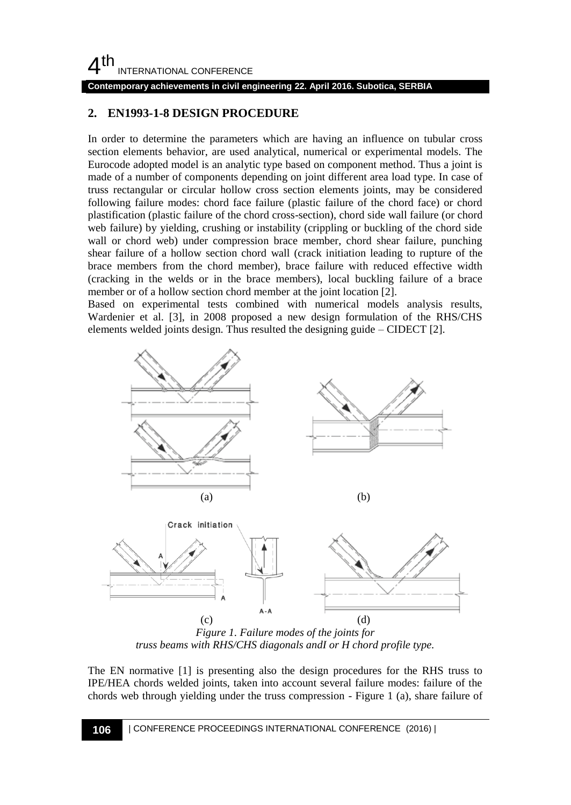## $4<sup>th</sup>$ INTERNATIONAL CONFERENCE

**Contemporary achievements in civil engineering 22. April 2016. Subotica, SERBIA**

## **2. EN1993-1-8 DESIGN PROCEDURE**

In order to determine the parameters which are having an influence on tubular cross section elements behavior, are used analytical, numerical or experimental models. The Eurocode adopted model is an analytic type based on component method. Thus a joint is made of a number of components depending on joint different area load type. In case of truss rectangular or circular hollow cross section elements joints, may be considered following failure modes: chord face failure (plastic failure of the chord face) or chord plastification (plastic failure of the chord cross-section), chord side wall failure (or chord web failure) by yielding, crushing or instability (crippling or buckling of the chord side wall or chord web) under compression brace member, chord shear failure, punching shear failure of a hollow section chord wall (crack initiation leading to rupture of the brace members from the chord member), brace failure with reduced effective width (cracking in the welds or in the brace members), local buckling failure of a brace member or of a hollow section chord member at the joint location [2].

Based on experimental tests combined with numerical models analysis results, Wardenier et al. [3], in 2008 proposed a new design formulation of the RHS/CHS elements welded joints design. Thus resulted the designing guide – CIDECT [2].



*Figure 1. Failure modes of the joints for truss beams with RHS/CHS diagonals andI or H chord profile type.*

The EN normative [1] is presenting also the design procedures for the RHS truss to IPE/HEA chords welded joints, taken into account several failure modes: failure of the chords web through yielding under the truss compression - Figure 1 (a), share failure of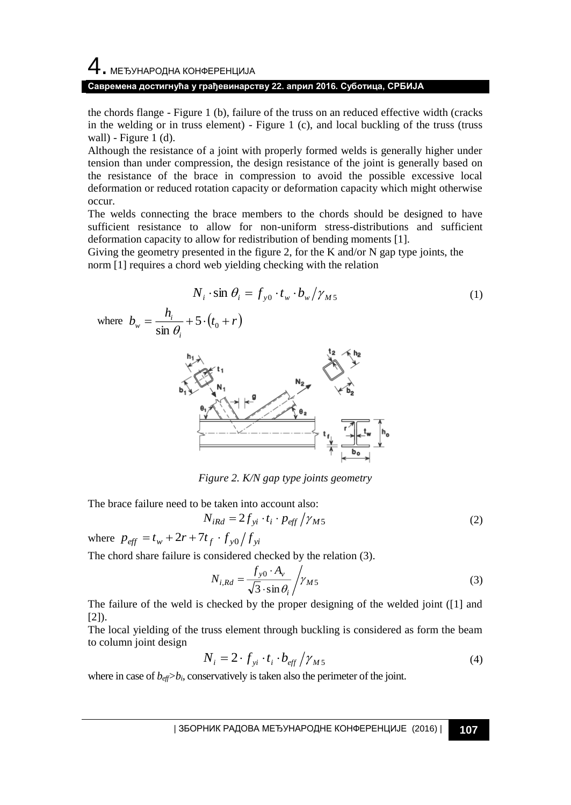# 4. МЕЂУНАРОДНА КОНФЕРЕНЦИЈА **Савремена достигнућа у грађевинарству 22. април 2016. Суботица, СРБИЈА**

the chords flange - Figure 1 (b), failure of the truss on an reduced effective width (cracks in the welding or in truss element) - Figure 1 (c), and local buckling of the truss (truss wall) - Figure 1  $(d)$ .

Although the resistance of a joint with properly formed welds is generally higher under tension than under compression, the design resistance of the joint is generally based on the resistance of the brace in compression to avoid the possible excessive local deformation or reduced rotation capacity or deformation capacity which might otherwise occur.

The welds connecting the brace members to the chords should be designed to have sufficient resistance to allow for non-uniform stress-distributions and sufficient deformation capacity to allow for redistribution of bending moments [1].

Giving the geometry presented in the figure 2, for the K and/or N gap type joints, the norm [1] requires a chord web yielding checking with the relation

$$
N_i \cdot \sin \theta_i = f_{y0} \cdot t_w \cdot b_w / \gamma_{M5}
$$
 (1)

where 
$$
b_w = \frac{h_i}{\sin \theta_i} + 5 \cdot (t_0 + r)
$$



*Figure 2. K/N gap type joints geometry*

The brace failure need to be taken into account also:

$$
N_{iRd} = 2f_{yi} \cdot t_i \cdot p_{\text{eff}} / \gamma_{M5} \tag{2}
$$

where  $p_{\text{eff}} = t_w + 2r + 7t_f \cdot f_{y0}/f_{yi}$ 

The chord share failure is considered checked by the relation (3).

$$
N_{i, Rd} = \frac{f_{y0} \cdot A_v}{\sqrt{3} \cdot \sin \theta_i} / \gamma_{M5}
$$
 (3)

The failure of the weld is checked by the proper designing of the welded joint ([1] and  $[2]$ ).

The local yielding of the truss element through buckling is considered as form the beam to column joint design

$$
N_i = 2 \cdot f_{yi} \cdot t_i \cdot b_{\text{eff}} / \gamma_{M5} \tag{4}
$$

where in case of  $b_{\text{eff}} > b_i$ , conservatively is taken also the perimeter of the joint.

| ЗБОРНИК РАДОВА МЕЂУНАРОДНЕ КОНФЕРЕНЦИЈЕ (2016) | **107**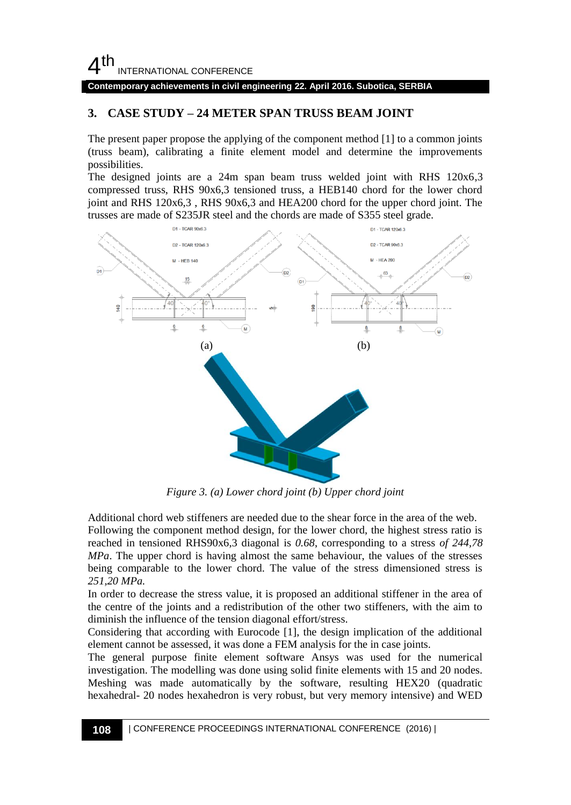## $4<sup>th</sup>$ INTERNATIONAL CONFERENCE

#### **Contemporary achievements in civil engineering 22. April 2016. Subotica, SERBIA**

## **3. CASE STUDY – 24 METER SPAN TRUSS BEAM JOINT**

The present paper propose the applying of the component method [1] to a common joints (truss beam), calibrating a finite element model and determine the improvements possibilities.

The designed joints are a 24m span beam truss welded joint with RHS 120x6,3 compressed truss, RHS 90x6,3 tensioned truss, a HEB140 chord for the lower chord joint and RHS 120x6,3 , RHS 90x6,3 and HEA200 chord for the upper chord joint. The trusses are made of S235JR steel and the chords are made of S355 steel grade.



*Figure 3. (a) Lower chord joint (b) Upper chord joint*

Additional chord web stiffeners are needed due to the shear force in the area of the web. Following the component method design, for the lower chord, the highest stress ratio is reached in tensioned RHS90x6,3 diagonal is *0.68*, corresponding to a stress *of 244,78 MPa*. The upper chord is having almost the same behaviour, the values of the stresses being comparable to the lower chord. The value of the stress dimensioned stress is *251,20 MPa.*

In order to decrease the stress value, it is proposed an additional stiffener in the area of the centre of the joints and a redistribution of the other two stiffeners, with the aim to diminish the influence of the tension diagonal effort/stress.

Considering that according with Eurocode [1], the design implication of the additional element cannot be assessed, it was done a FEM analysis for the in case joints.

The general purpose finite element software Ansys was used for the numerical investigation. The modelling was done using solid finite elements with 15 and 20 nodes. Meshing was made automatically by the software, resulting HEX20 (quadratic hexahedral- 20 nodes hexahedron is very robust, but very memory intensive) and WED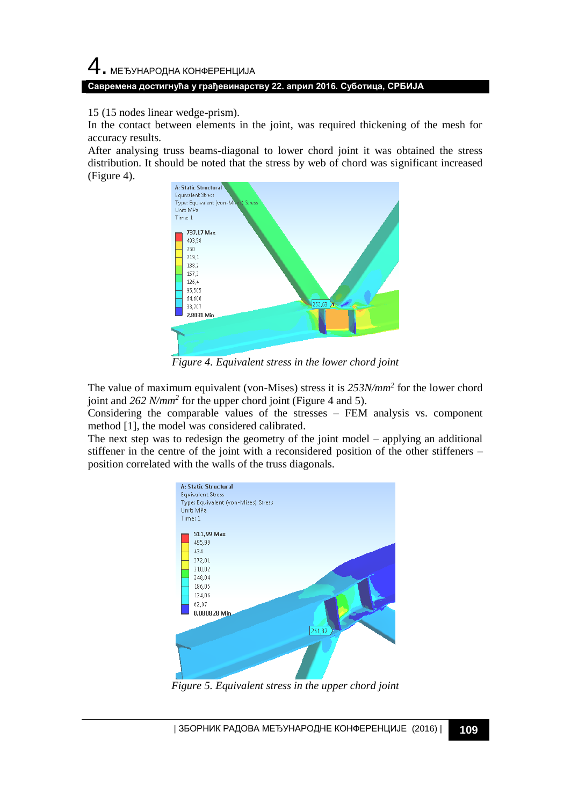15 (15 nodes linear wedge-prism).

In the contact between elements in the joint, was required thickening of the mesh for accuracy results.

After analysing truss beams-diagonal to lower chord joint it was obtained the stress distribution. It should be noted that the stress by web of chord was significant increased (Figure 4).



*Figure 4. Equivalent stress in the lower chord joint*

The value of maximum equivalent (von-Mises) stress it is *253N/mm<sup>2</sup>* for the lower chord joint and *262 N/mm<sup>2</sup>* for the upper chord joint (Figure 4 and 5).

Considering the comparable values of the stresses – FEM analysis vs. component method [1], the model was considered calibrated.

The next step was to redesign the geometry of the joint model – applying an additional stiffener in the centre of the joint with a reconsidered position of the other stiffeners – position correlated with the walls of the truss diagonals.



*Figure 5. Equivalent stress in the upper chord joint*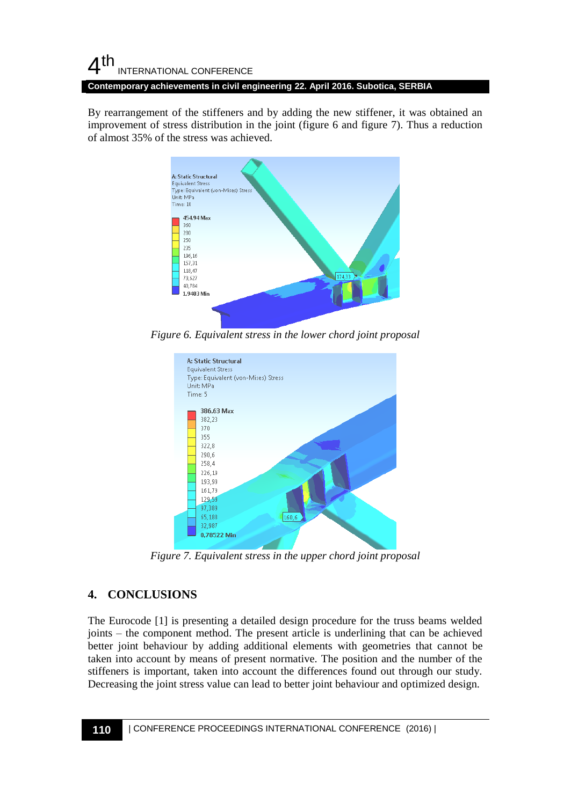### $4<sup>th</sup>$ INTERNATIONAL CONFERENCE **Contemporary achievements in civil engineering 22. April 2016. Subotica, SERBIA**

By rearrangement of the stiffeners and by adding the new stiffener, it was obtained an improvement of stress distribution in the joint (figure 6 and figure 7). Thus a reduction of almost 35% of the stress was achieved.



*Figure 6. Equivalent stress in the lower chord joint proposal*



*Figure 7. Equivalent stress in the upper chord joint proposal*

## **4. CONCLUSIONS**

The Eurocode [1] is presenting a detailed design procedure for the truss beams welded joints – the component method. The present article is underlining that can be achieved better joint behaviour by adding additional elements with geometries that cannot be taken into account by means of present normative. The position and the number of the stiffeners is important, taken into account the differences found out through our study. Decreasing the joint stress value can lead to better joint behaviour and optimized design.